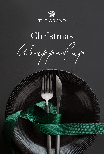

# Christmas

**Wrapped up**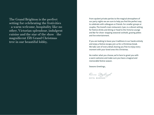From opulent private parties to the magical atmosphere of our party nights we are sure to help you find the perfect way to celebrate with colleagues or friends. For smaller groups or couples, The Grand's main restaurant, Cyan, is a vibrant setting for festive drinks and dining or head to the Victoria Lounge and Bar for show- stopping seasonal cocktails, grazing plates and live entertainment.

If you are looking to leave your traditions in our hands entirely and enjoy a festive escape, join us for a Christmas break. We take care of every detail, leaving you free to enjoy every moment with your loved ones this Christmas.

No matter what you choose, we're here to greet you with a warm welcome and make sure you have a magical and memorable festive season.

Seasons Greetings,

HOTEL MANAGER **Riaan Stiglingh**

The Grand Brighton is the perfect setting for celebrating the festivities - a warm welcome, hospitality like no other, Victorian splendour, indulgent cuisine and the star of the show - the magnificent 15ft Grand Christmas tree in our beautiful lobby.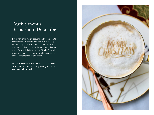Join us here on Brighton's beautiful seafront for a taste of the season. Get into the festive spirit with roaring fires, stunning Christmas decorations and seasonal menus. Count down to the big day with us whether you pop by for a mulled wine with some friends after work or join us for our much-loved festive afternoon tea – we are looking forward to welcoming you.

# Festive menus throughout December

As the festive season draws near, you can discover all of our seasonal specials at grandbrighton.co.uk and cyanbrighton.co.uk.

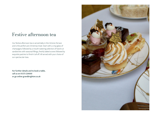Our festive afternoon tea is served daily in the Victoria Terrace and is the perfect pre-christmas treat. Start with a crisp glass of champagne, followed by a mouth-watering selection of hand-cut sandwiches with seasonal fillings, freshly baked scones followed by exquisite pastries to finish it all off. All served with your choice of our spectacular teas.

For further details and to book a table, call us on 01273 224300 or go online grandbrighton.co.uk

![](_page_3_Picture_3.jpeg)

# Festive afternoon tea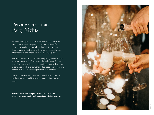Why not book a private suite exclusively for your Christmas party? Our fantastic range of unique event spaces offer something special for your celebration. Whether you are looking for an intimate private dinner or large space for the office party, we can cater from 10 to up to 600 guests.

Find out more by calling our experienced team on 01273 224300 or email conference@grandbrighton.co.uk

![](_page_4_Picture_5.jpeg)

We offer a wide choice of delicious banqueting menus or meet with our Executive Chef to develop a bespoke menu for your party. You can leave the entertainment and room styling in our experienced hands to ensure the perfect option for your event, making your 2022 Christmas party one to remember!

Contact our conference team for more information on our available packages and to discuss bespoke options for your party.

# Private Christmas Party Nights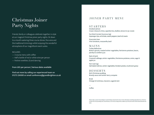## STARTERS

Smoked salmon Cream cheese & chive, caperberries, shallots, lemon & rye croute

Sun blush tomato houmous (vg) Asparagus tips, artichoke, sweet peppers, basil oil, toasts

Prosciutto ham Vine tomatoes, mozzarella, basil

## MAINS

Turkey Ballontine Button sprouts, roasted winter vegetables, Parisienne potatoes, bacon, parsley & cranberry jus

Rack of pork Creamed cabbage, winter vegetables, Parisienne potatoes, onion, sage & apple jus

Nut roast (vg) Salt baked celeriac, winter vegetables, fondant potato, mushroom gravy

## DESSERTS

Rich Christmas pudding Brandy sauce and winter berry compote

Brulé Orange & Cointreau, macaron, sugared zest

Coffee

 $\overline{a}$ 

Please make us aware of any allergies or special dietary requirements and our team will prepare something especially for you. All prices include VAT at the prevailing rate. A discretionary 12.5% service charge will be added to your bill, all of which will be shared between the team.

## JOINER PARTY MENU

Friends, family or colleagues celebrate together in style at our magical Christmas joiner party nights. Sit down to a mouth-watering three course dinner, fine wine and the traditional trimmings whilst enjoying the wonderful atmosphere of our magnificent event suites.

## INCLUDES

- 3 course menu with coffee
- Half a bottle of red or white wine per person
- Festive novelities, DJ and dancing

From £65 per person | Various dates available

Find out more by calling our experienced team on 01273 224300 or email conference@grandbrighton.co.uk

# Christmas Joiner Party Nights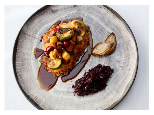![](_page_6_Picture_0.jpeg)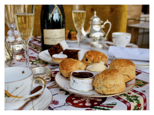![](_page_7_Picture_0.jpeg)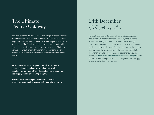Let us take care of Christmas for you with sumptuous food, treats for the children and Christmas entertainment to suit everyone's tastes. Brighton's unsurpassable Victorian charm and unique location beside the sea make The Grand the ideal setting for a warm, comfortable and luxurious Christmas break — a truly festive escape. Whether you come alone, with friends, with your family or your partner, we will make sure your Christmas is taken care of, down to the very finest details.

Arrive at your leisure. Our team will be here to greet you and ensure that you are settled in and have everything you need. Before the evening commences, relax in the warm lounge overlooking the sea and indulge in a traditional afternoon tea or a light lunch in Cyan, The Grand's main restaurant\*. In the evening you can enjoy the festive sounds of the local choir in the hotel lobby and then take a seat to enjoy an exquisite four course dinner, finishing with a selection of Sussex cheeses and port. If you wish to attend midnight mass, our concierge team will be happy to advise on local services to attend.

Prices start from £800 per person based on two people sharing a classic inland double or twin room, single supplements may apply. Upgrade supplements to a sea view room apply, starting from £70 per night.

Find out more by calling our reservations team on 01273 224300 or email reservations@grandbrighton.co.uk

# The Ultimate Festive Getaway

# 24th December

**Christmas Eve**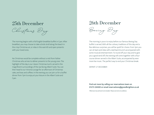The morning begins with a full English breakfast buffet in Cyan. After breakfast, you may choose to take a brisk stroll along the beach in the crisp Christmas air, or relax in the warmth and open presents with your loved ones.

No Christmas would be complete without a visit from Father Christmas who arrives to deliver presents to the young ones. The highlight of the day is our classic Christmas lunch, served in the magnificent surroundings of the sea facing Albert Suite. You can then head to our Victoria Lounge for an afternoon of Christmas cake, and teas and coffees. In the evening you can join us for a buffet dinner from 7pm to enjoy at your leisure in the Albert Suite and Cyan.

The morning is yours to enjoy before our famous Boxing Day buffet is served. With all the culinary traditions of this day and a few delicious surprises, you will be spoilt for choice. From 1pm you can sit back and relax with a laid back brunch accompanied with some musical entertainment. To round off your stay and to give you a good send off, the evening will come together with a fourcourse dinner served in the Albert Suite, accompanied by even more live music. The perfect way to end your Christmas break.

## DEPART 27 DECEMBER

## Find out more by calling our reservations team on 01273 224300 or email reservations@grandbrighton.co.uk

\*Afternoon tea and lunch not included. Please see terms & conditions

## 25th December

**Christmas Day**

## 26th December

**Boxing Day**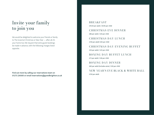BREAKFAST £19.50 per adult / £9.95 per child

CHRISTMAS EVE DINNER £86 per adult / £43 per child

CHRISTMAS DAY LUNCH £130 per adult/ £65 per child

CHRISTMAS DAY EVENING BUFFET £50 per adult / £25 per child

BOXING DAY BUFFET LUNCH £72 per adult / £36 per child

BOXING DAY DINNER £60 per adult (Includes wine) / £30 per child

NEW YEAR'S EVE BLACK & WHITE BALL £150 per adult

We would be delighted to welcome your friends or family to The Grand at Christmas or New Year — after all, it's your home too. We request that extra guest bookings be made in advance, with the following charges listed opposite.

Find out more by calling our reservations team on 01273 224300 or email reservations@grandbrighton.co.uk

# Invite your family to join you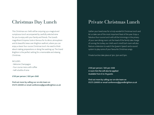This Christmas our chefs will be conjuring up a magical and sumptuous lunch accompanied by carefully selected wine for you to enjoy with your family and friends. The Grand's magnificent Empress Suite is famous for its décor, atmosphere and its beautiful views over Brighton seafront, where you can enjoy a classic four course Christmas lunch. No need to think about making preparations or doing the washing-up. The Grand Brighton is the perfect setting for a memorable and relaxing Christmas.

## INCLUDES:

- Welcome Champagne
- Four course menu with coffee
- Half a bottle of wine

Gather your loved ones for a truly wonderful Christmas lunch and let us take care of the most important feast of the year. Enjoy a fabulous four-course lunch with all the trimmings in the privacy of your own dining room. Let the head of the family take charge of carving the turkey, our chefs won't mind! Each room will also feature a television to watch the Queen's Speech and a sound system to play some of your favourite Christmas songs.

Private lunches take place at 1pm, 2pm and 3pm.

£130 per person / £65 per child

Find out more by calling our on-site team on 01273 224300 or email conference@grandbrighton.co.uk £130 per person / £65 per child A room hire fee will also be applied Available from 6 to 16 guests

Find out more by calling our on-site team on 01273 224300 or email conference@grandbrighton.co.uk

# Christmas Day Lunch Private Christmas Lunch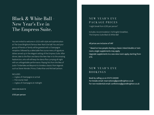You are invited to welcome in 2023 with style and sophistication at The Grand Brighton's famous New Year's Eve ball. You and your group of friends or family will be greeted with a Champagne reception, followed by a delectable five course menu of signature dishes served up in the elegant setting of the Empress Suite. After dinner, take to the floor and dance the New Year in to the amazing RadioAction, who will will keep the dance floor jumping all night with an unforgettable performance. Playing hits from the likes of Justin Timberlake and Beyoncé to timeless classics from legends such as Stevie Wonder, Prince, Chaka Khan and Michael Jackson.

## NEW YEAR'S EVE PACKAGE PRICES

1 night break from £295 per person\*

## INCLUDES

- A glass of champagne on arrival
- Five course meal
- A glass of champagne at midnight

DRESS CODE: BLACK TIE

£150 per person

\* Based on two people sharing a classic inland double or twin room, single supplements may apply. Upgrade supplements to a sea view room apply, starting from £70.

Includes: Accommodation† , Full English breakfast, The Empress Suite Black & White Ball

All prices are inclusive of VAT

## N E W Y E A R ' S E V E BOOKINGS

Book by calling us on 01273 224300 For breaks email: reservations@grandbrighton.co.uk For non-residential email: conference@grandbrighton.co.uk

# Black & White Ball - New Year's Eve in The Empress Suite.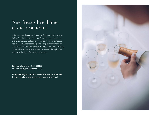Enjoy a relaxed dinner with friends or family on New Year's Eve in The Grand's restaurant and bar. Choose from our seasonal a la carte menu as well as a great choice of fine wines, festive cocktails and Sussex sparkling wine. Sit up at the bar for a fun and interactive dining experience or soak up our seaside setting with a table on the terrace. Groups can take to the high table and enjoy the buzz of the main restaurant.

Book by calling us on 01273 224300 or email eat@grandbrighton.co.uk

Visit grandbrighton.co.uk to view the seasonal menus and further details on New Year's Eve dining at The Grand

![](_page_13_Picture_4.jpeg)

# New Year's Eve dinner at our restaurant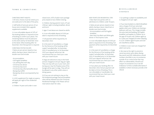### CHRISTMAS PARTY NIGHTS:

1. All menu choices must be noted up to one week prior to the date of the party.

2. Half bottle of wine per person of our house wine included. Wine upgrade supplements available.

3. A non-refundable deposit of 25% of the booking balance is required at time of booking to confirm your places. The remaining balance must be paid prior to the event and by 1st November 2022 at the latest. When booking after 1st November 2022 full payment is required.

## CHRISTMAS FESTIVE ESCAPE:

1. Rates are per person, based on two adults sharing a classic inland twin or double room and include:

- Accommodation
- Full English breakfast
- Car parking fees each day
- Christmas Eve dinner
- Christmas Day lunch
- Christmas Day informal buffet dinner
- Boxing Day buffet
- Boxing Day dinner accompanied by live music

2. A £50 supplement for single occupancy will apply per night of the residential package.

3. Children 14 years and under in own

## NEW YEAR'S EVE RESIDENTIAL STAY: 1. New Year's Eve parties with no admittance to children under 18 years.

2. Rates are per person, based on two adults sharing a classic inland twin or double room and include:

- Accommodation and full English breakfast
- New Year's Eve Black and White gala dinner in The Empress Suite.

3. A non-refundable deposit of £100 per adult is required at time of booking. Full payment will be required by 1st December 2022.

4. In the event of cancellation, a charge for the full price of the booking will be made if cancelled after 1st December 2022, if cancelled prior to 1st December 2022 your deposit will be lost. We recommend that you check your cover with your travel insurer.

5. If you place your booking after 1st December 2022, full pre-payment will be taken at time of booking. This is non-refundable or transferable. We recommend that you check your cover with your travel insurer.

inland room, 50% of adult room package price, based on two children sharing.

4. Children sharing parents' room, £75 per child per night including breakfast, dinner and lunch.

5. Ages 15 and above are classed as adults.

6. A non-refundable deposit of £100 per adult is required at time of booking.

7. Full payment will be required by 1st December 2022.

8. In the event of cancellation, a charge for the full price of the booking will be made if cancelled after 1st December 2022, if cancelled prior to 1st December 2022 your deposit will be lost. We recommend that you check your cover with your travel insurer.

9. Dogs are welcome to stay in the hotel and are charged at £30 per dog per night. They can stay with you in your room, and during your stay the fireplace area of the lounge will be open to dogs. They will not be allowed in any other public areas or dining spaces.

10. If you are not wishing to stay on the full residential package, bed and breakfast rates will be released once the Christmas Residential Package is full. Please call our reservations team for rates.

1. Car parking is subject to availability and is charged at £35 per night.

2. If you have booked on a Bed & Breakfast rate a charge of £20 per extra bed applies when your children are sharing a bedroom with you. This charge includes the extra bed and bedding, full English breakfast, and applies to children up to the age of 16 years old. Children aged up to 2 years are charged £10 when sleeping in a cot. Children aged 16 years and over are classified as adults.

3. Children in own room are charged full adult room price.

4. We reserve the right to amend or cancel any joiner party dates, Boxing Day events and NYE celebrations should numbers shortfall or any circumstances outside of our control arise that may affect our deliverability. Should such unique circumstances occur we will endeavour to find a suitable alternative if available or where necessary provide a full refund.

## TERMS & CONDITIONS M I S C E L L A N E O U S CHARGES